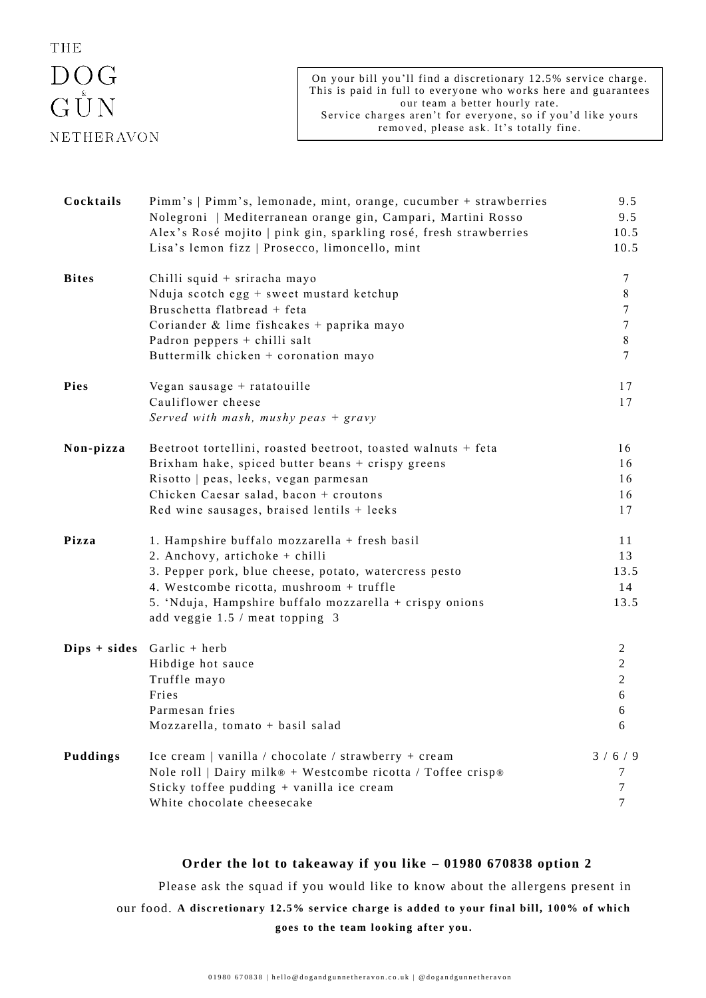## **THE**  $\begin{array}{c}\n\text{DOG} \\
\text{G UN}\n\end{array}$ NETHERAVON

| Cocktails    | Pimm's   Pimm's, lemonade, mint, orange, cucumber + strawberries<br>Nolegroni   Mediterranean orange gin, Campari, Martini Rosso<br>Alex's Rosé mojito   pink gin, sparkling rosé, fresh strawberries<br>Lisa's lemon fizz   Prosecco, limoncello, mint                            | 9.5<br>9.5<br>10.5<br>10.5                                    |
|--------------|------------------------------------------------------------------------------------------------------------------------------------------------------------------------------------------------------------------------------------------------------------------------------------|---------------------------------------------------------------|
| <b>Bites</b> | Chilli squid + sriracha mayo<br>Nduja scotch egg + sweet mustard ketchup<br>Bruschetta flatbread + feta<br>Coriander & lime fishcakes + paprika mayo<br>Padron peppers + chilli salt<br>Buttermilk chicken + coronation mayo                                                       | 7<br>$\,8\,$<br>7<br>$\tau$<br>$\,$ 8 $\,$<br>$\overline{7}$  |
| Pies         | Vegan sausage + ratatouille<br>Cauliflower cheese<br>Served with mash, mushy peas $+$ gravy                                                                                                                                                                                        | 17<br>17                                                      |
| Non-pizza    | Beetroot tortellini, roasted beetroot, toasted walnuts + feta<br>Brixham hake, spiced butter beans + crispy greens<br>Risotto   peas, leeks, vegan parmesan<br>Chicken Caesar salad, bacon + croutons<br>Red wine sausages, braised lentils + leeks                                | 16<br>16<br>16<br>16<br>17                                    |
| Pizza        | 1. Hampshire buffalo mozzarella + fresh basil<br>2. Anchovy, artichoke + chilli<br>3. Pepper pork, blue cheese, potato, watercress pesto<br>4. Westcombe ricotta, mushroom + truffle<br>5. 'Nduja, Hampshire buffalo mozzarella + crispy onions<br>add veggie 1.5 / meat topping 3 | 11<br>13<br>13.5<br>14<br>13.5                                |
|              | $Dips + sides$ Garlic + herb<br>Hibdige hot sauce<br>Truffle mayo<br>Fries<br>Parmesan fries<br>Mozzarella, tomato + basil salad                                                                                                                                                   | $\overline{2}$<br>$\overline{c}$<br>$\sqrt{2}$<br>6<br>6<br>6 |
| Puddings     | Ice cream   vanilla / chocolate / strawberry + cream<br>Nole roll   Dairy milk® + Westcombe ricotta / Toffee crisp®<br>Sticky toffee pudding + vanilla ice cream<br>White chocolate cheesecake                                                                                     | 3/6/9<br>7<br>7<br>7                                          |

## **Order the lot to takeaway if you like – 01980 670838 option 2**

Please ask the squad if you would like to know about the allergens present in our food. A discretionary 12.5% service charge is added to your final bill, 100% of which **goes to the team looking after you.**